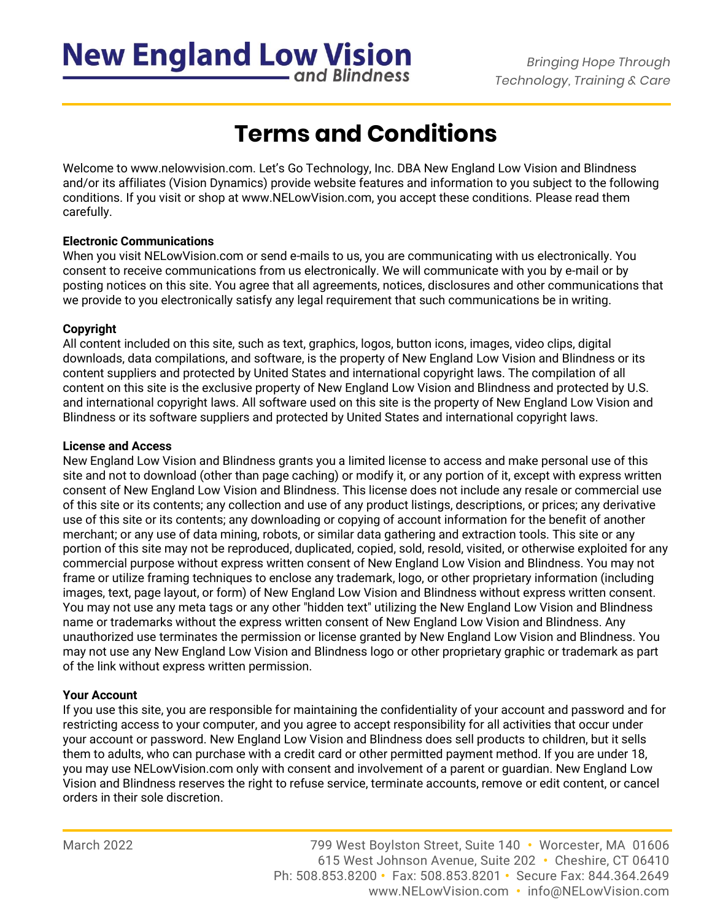## **New England Low Vision**

*Bringing Hope Through Technology, Training & Care*

## **Terms and Conditions**

Welcome to [www.nelowvision.com.](http://www.nelowvision.com/) Let's Go Technology, Inc. DBA New England Low Vision and Blindness and/or its affiliates (Vision Dynamics) provide website features and information to you subject to the following conditions. If you visit or shop at www.NELowVision.com, you accept these conditions. Please read them carefully.

### **Electronic Communications**

When you visit NELowVision.com or send e-mails to us, you are communicating with us electronically. You consent to receive communications from us electronically. We will communicate with you by e-mail or by posting notices on this site. You agree that all agreements, notices, disclosures and other communications that we provide to you electronically satisfy any legal requirement that such communications be in writing.

### **Copyright**

All content included on this site, such as text, graphics, logos, button icons, images, video clips, digital downloads, data compilations, and software, is the property of New England Low Vision and Blindness or its content suppliers and protected by United States and international copyright laws. The compilation of all content on this site is the exclusive property of New England Low Vision and Blindness and protected by U.S. and international copyright laws. All software used on this site is the property of New England Low Vision and Blindness or its software suppliers and protected by United States and international copyright laws.

### **License and Access**

New England Low Vision and Blindness grants you a limited license to access and make personal use of this site and not to download (other than page caching) or modify it, or any portion of it, except with express written consent of New England Low Vision and Blindness. This license does not include any resale or commercial use of this site or its contents; any collection and use of any product listings, descriptions, or prices; any derivative use of this site or its contents; any downloading or copying of account information for the benefit of another merchant; or any use of data mining, robots, or similar data gathering and extraction tools. This site or any portion of this site may not be reproduced, duplicated, copied, sold, resold, visited, or otherwise exploited for any commercial purpose without express written consent of New England Low Vision and Blindness. You may not frame or utilize framing techniques to enclose any trademark, logo, or other proprietary information (including images, text, page layout, or form) of New England Low Vision and Blindness without express written consent. You may not use any meta tags or any other "hidden text" utilizing the New England Low Vision and Blindness name or trademarks without the express written consent of New England Low Vision and Blindness. Any unauthorized use terminates the permission or license granted by New England Low Vision and Blindness. You may not use any New England Low Vision and Blindness logo or other proprietary graphic or trademark as part of the link without express written permission.

### **Your Account**

If you use this site, you are responsible for maintaining the confidentiality of your account and password and for restricting access to your computer, and you agree to accept responsibility for all activities that occur under your account or password. New England Low Vision and Blindness does sell products to children, but it sells them to adults, who can purchase with a credit card or other permitted payment method. If you are under 18, you may use NELowVision.com only with consent and involvement of a parent or guardian. New England Low Vision and Blindness reserves the right to refuse service, terminate accounts, remove or edit content, or cancel orders in their sole discretion.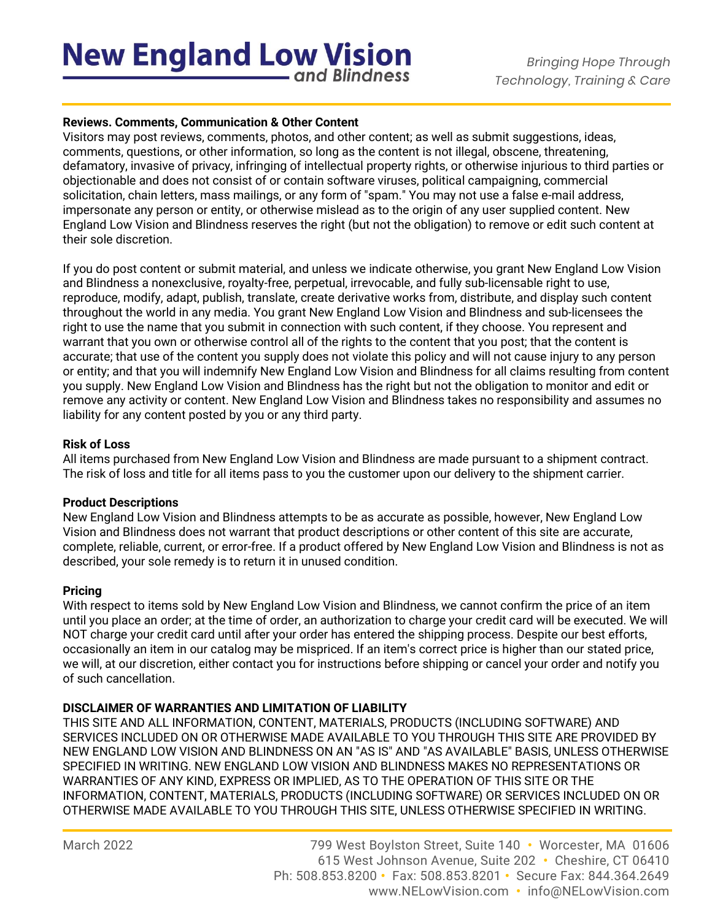## **New England Low Vision** and Blindness

### **Reviews. Comments, Communication & Other Content**

Visitors may post reviews, comments, photos, and other content; as well as submit suggestions, ideas, comments, questions, or other information, so long as the content is not illegal, obscene, threatening, defamatory, invasive of privacy, infringing of intellectual property rights, or otherwise injurious to third parties or objectionable and does not consist of or contain software viruses, political campaigning, commercial solicitation, chain letters, mass mailings, or any form of "spam." You may not use a false e-mail address, impersonate any person or entity, or otherwise mislead as to the origin of any user supplied content. New England Low Vision and Blindness reserves the right (but not the obligation) to remove or edit such content at their sole discretion.

If you do post content or submit material, and unless we indicate otherwise, you grant New England Low Vision and Blindness a nonexclusive, royalty-free, perpetual, irrevocable, and fully sub-licensable right to use, reproduce, modify, adapt, publish, translate, create derivative works from, distribute, and display such content throughout the world in any media. You grant New England Low Vision and Blindness and sub-licensees the right to use the name that you submit in connection with such content, if they choose. You represent and warrant that you own or otherwise control all of the rights to the content that you post; that the content is accurate; that use of the content you supply does not violate this policy and will not cause injury to any person or entity; and that you will indemnify New England Low Vision and Blindness for all claims resulting from content you supply. New England Low Vision and Blindness has the right but not the obligation to monitor and edit or remove any activity or content. New England Low Vision and Blindness takes no responsibility and assumes no liability for any content posted by you or any third party.

### **Risk of Loss**

All items purchased from New England Low Vision and Blindness are made pursuant to a shipment contract. The risk of loss and title for all items pass to you the customer upon our delivery to the shipment carrier.

### **Product Descriptions**

New England Low Vision and Blindness attempts to be as accurate as possible, however, New England Low Vision and Blindness does not warrant that product descriptions or other content of this site are accurate, complete, reliable, current, or error-free. If a product offered by New England Low Vision and Blindness is not as described, your sole remedy is to return it in unused condition.

### **Pricing**

With respect to items sold by New England Low Vision and Blindness, we cannot confirm the price of an item until you place an order; at the time of order, an authorization to charge your credit card will be executed. We will NOT charge your credit card until after your order has entered the shipping process. Despite our best efforts, occasionally an item in our catalog may be mispriced. If an item's correct price is higher than our stated price, we will, at our discretion, either contact you for instructions before shipping or cancel your order and notify you of such cancellation.

### **DISCLAIMER OF WARRANTIES AND LIMITATION OF LIABILITY**

THIS SITE AND ALL INFORMATION, CONTENT, MATERIALS, PRODUCTS (INCLUDING SOFTWARE) AND SERVICES INCLUDED ON OR OTHERWISE MADE AVAILABLE TO YOU THROUGH THIS SITE ARE PROVIDED BY NEW ENGLAND LOW VISION AND BLINDNESS ON AN "AS IS" AND "AS AVAILABLE" BASIS, UNLESS OTHERWISE SPECIFIED IN WRITING. NEW ENGLAND LOW VISION AND BLINDNESS MAKES NO REPRESENTATIONS OR WARRANTIES OF ANY KIND, EXPRESS OR IMPLIED, AS TO THE OPERATION OF THIS SITE OR THE INFORMATION, CONTENT, MATERIALS, PRODUCTS (INCLUDING SOFTWARE) OR SERVICES INCLUDED ON OR OTHERWISE MADE AVAILABLE TO YOU THROUGH THIS SITE, UNLESS OTHERWISE SPECIFIED IN WRITING.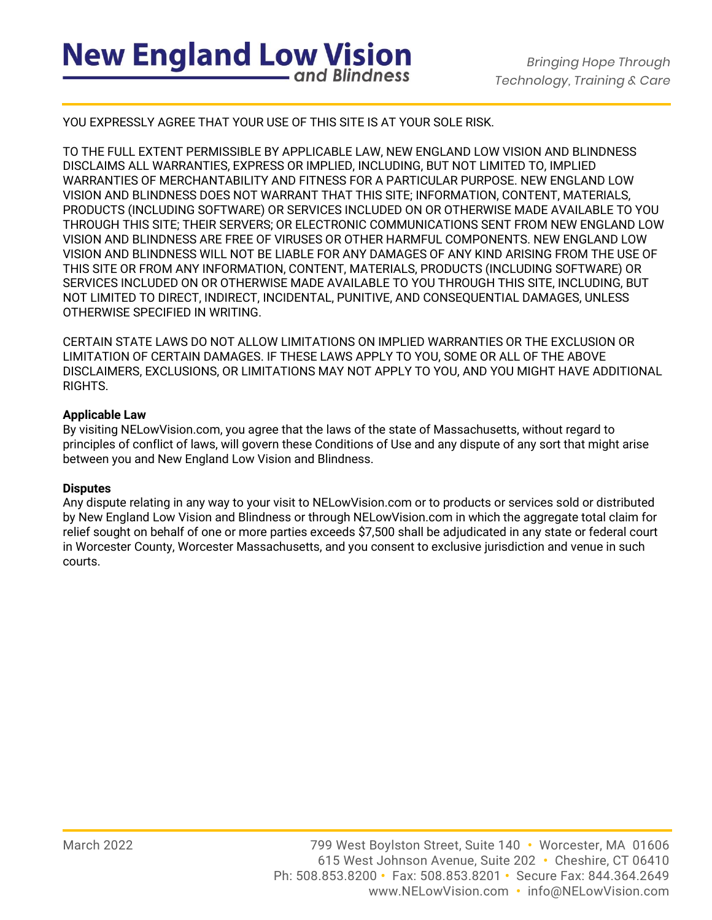YOU EXPRESSLY AGREE THAT YOUR USE OF THIS SITE IS AT YOUR SOLE RISK.

TO THE FULL EXTENT PERMISSIBLE BY APPLICABLE LAW, NEW ENGLAND LOW VISION AND BLINDNESS DISCLAIMS ALL WARRANTIES, EXPRESS OR IMPLIED, INCLUDING, BUT NOT LIMITED TO, IMPLIED WARRANTIES OF MERCHANTABILITY AND FITNESS FOR A PARTICULAR PURPOSE. NEW ENGLAND LOW VISION AND BLINDNESS DOES NOT WARRANT THAT THIS SITE; INFORMATION, CONTENT, MATERIALS, PRODUCTS (INCLUDING SOFTWARE) OR SERVICES INCLUDED ON OR OTHERWISE MADE AVAILABLE TO YOU THROUGH THIS SITE; THEIR SERVERS; OR ELECTRONIC COMMUNICATIONS SENT FROM NEW ENGLAND LOW VISION AND BLINDNESS ARE FREE OF VIRUSES OR OTHER HARMFUL COMPONENTS. NEW ENGLAND LOW VISION AND BLINDNESS WILL NOT BE LIABLE FOR ANY DAMAGES OF ANY KIND ARISING FROM THE USE OF THIS SITE OR FROM ANY INFORMATION, CONTENT, MATERIALS, PRODUCTS (INCLUDING SOFTWARE) OR SERVICES INCLUDED ON OR OTHERWISE MADE AVAILABLE TO YOU THROUGH THIS SITE, INCLUDING, BUT NOT LIMITED TO DIRECT, INDIRECT, INCIDENTAL, PUNITIVE, AND CONSEQUENTIAL DAMAGES, UNLESS OTHERWISE SPECIFIED IN WRITING.

CERTAIN STATE LAWS DO NOT ALLOW LIMITATIONS ON IMPLIED WARRANTIES OR THE EXCLUSION OR LIMITATION OF CERTAIN DAMAGES. IF THESE LAWS APPLY TO YOU, SOME OR ALL OF THE ABOVE DISCLAIMERS, EXCLUSIONS, OR LIMITATIONS MAY NOT APPLY TO YOU, AND YOU MIGHT HAVE ADDITIONAL RIGHTS.

### **Applicable Law**

By visiting NELowVision.com, you agree that the laws of the state of Massachusetts, without regard to principles of conflict of laws, will govern these Conditions of Use and any dispute of any sort that might arise between you and New England Low Vision and Blindness.

### **Disputes**

Any dispute relating in any way to your visit to NELowVision.com or to products or services sold or distributed by New England Low Vision and Blindness or through NELowVision.com in which the aggregate total claim for relief sought on behalf of one or more parties exceeds \$7,500 shall be adjudicated in any state or federal court in Worcester County, Worcester Massachusetts, and you consent to exclusive jurisdiction and venue in such courts.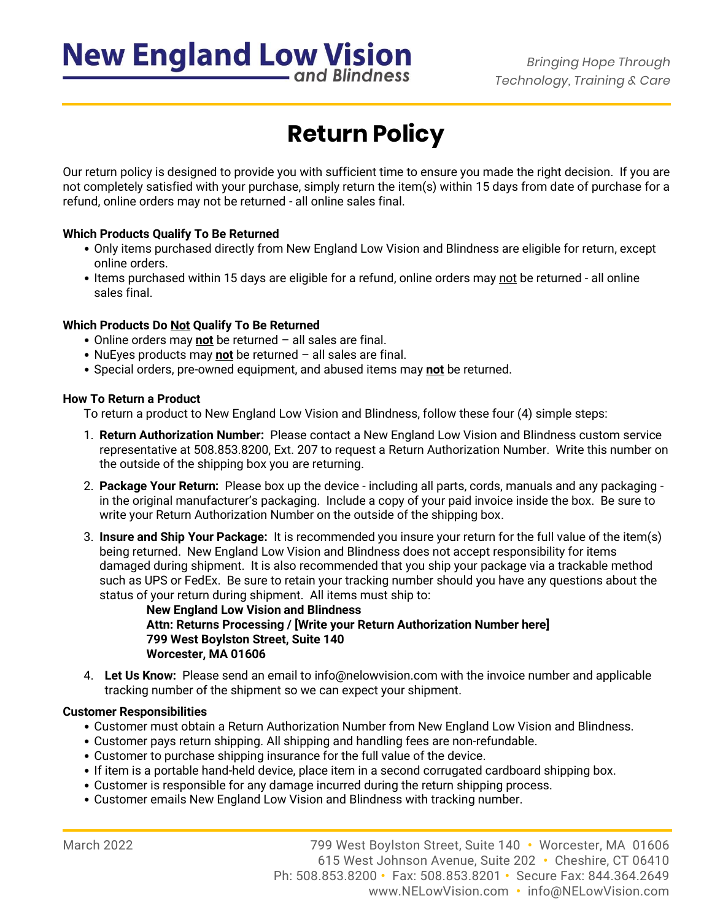# **New England Low Vision**

*Bringing Hope Through Technology, Training & Care*

### and Blindness

## **Return Policy**

Our return policy is designed to provide you with sufficient time to ensure you made the right decision. If you are not completely satisfied with your purchase, simply return the item(s) within 15 days from date of purchase for a refund, online orders may not be returned - all online sales final.

### **Which Products Qualify To Be Returned**

- Only items purchased directly from New England Low Vision and Blindness are eligible for return, except online orders.
- Items purchased within 15 days are eligible for a refund, online orders may not be returned all online sales final.

### **Which Products Do Not Qualify To Be Returned**

- Online orders may **not** be returned all sales are final.
- NuEyes products may **not** be returned all sales are final.
- Special orders, pre-owned equipment, and abused items may **not** be returned.

### **How To Return a Product**

To return a product to New England Low Vision and Blindness, follow these four (4) simple steps:

- 1. **Return Authorization Number:** Please contact a New England Low Vision and Blindness custom service representative at 508.853.8200, Ext. 207 to request a Return Authorization Number. Write this number on the outside of the shipping box you are returning.
- 2. **Package Your Return:** Please box up the device including all parts, cords, manuals and any packaging in the original manufacturer's packaging. Include a copy of your paid invoice inside the box. Be sure to write your Return Authorization Number on the outside of the shipping box.
- 3. **Insure and Ship Your Package:** It is recommended you insure your return for the full value of the item(s) being returned. New England Low Vision and Blindness does not accept responsibility for items damaged during shipment. It is also recommended that you ship your package via a trackable method such as UPS or FedEx. Be sure to retain your tracking number should you have any questions about the status of your return during shipment. All items must ship to:

**New England Low Vision and Blindness Attn: Returns Processing / [Write your Return Authorization Number here] 799 West Boylston Street, Suite 140 Worcester, MA 01606**

4. **Let Us Know:** Please send an email to [info@nelowvision.com](mailto:info@nelowvision.com) with the invoice number and applicable tracking number of the shipment so we can expect your shipment.

### **Customer Responsibilities**

- Customer must obtain a Return Authorization Number from New England Low Vision and Blindness.
- Customer pays return shipping. All shipping and handling fees are non-refundable.
- Customer to purchase shipping insurance for the full value of the device.
- If item is a portable hand-held device, place item in a second corrugated cardboard shipping box.
- Customer is responsible for any damage incurred during the return shipping process.
- Customer emails New England Low Vision and Blindness with tracking number.